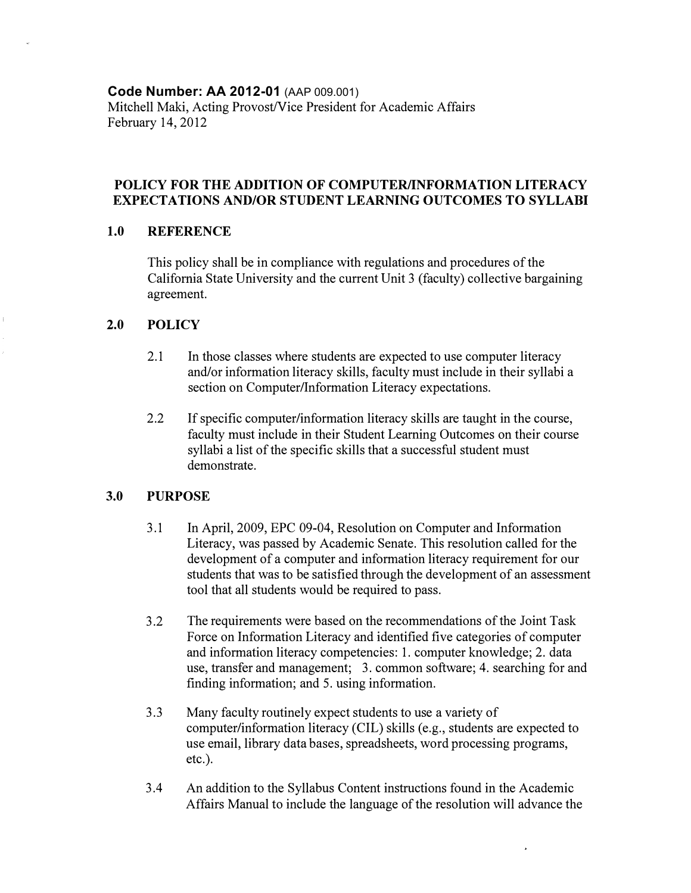**Code Number: AA 2012-01** (AAP 009.001)

Mitchell Maki, Acting Provost/Vice President for Academic Affairs February 14, 2012

## **POLICY FOR THE ADDITION OF COMPUTER/INFORMATION LITERACY EXPECTATIONS AND/OR STUDENT LEARNING OUTCOMES TO SYLLABI**

## **1.0 REFERENCE**

This policy shall be in compliance with regulations and procedures of the California State University and the current Unit 3 (faculty) collective bargaining agreement.

#### **2.0 POLICY**

- 2.1 In those classes where students are expected to use computer literacy and/or information literacy skills, faculty must include in their syllabi a section on Computer/Information Literacy expectations.
- 2.2 If specific computer/information literacy skills are taught in the course, faculty must include in their Student Leaming Outcomes on their course syllabi a list of the specific skills that a successful student must demonstrate.

## **3.0 PURPOSE**

- 3.1 In April, 2009, EPC 09-04, Resolution on Computer and Information Literacy, was passed by Academic Senate. This resolution called for the development of a computer and information literacy requirement for our students that was to be satisfied through the development of an assessment tool that all students would be required to pass.
- 3.2 The requirements were based on the recommendations of the Joint Task Force on Information Literacy and identified five categories of computer and information literacy competencies: 1. computer knowledge; 2. data use, transfer and management; 3. common software; 4. searching for and finding information; and 5. using information.
- 3.3 Many faculty routinely expect students to use a variety of computer/information literacy (CIL) skills (e.g., students are expected to use email, library data bases, spreadsheets, word processing programs, etc.).
- 3.4 An addition to the Syllabus Content instructions found in the Academic Affairs Manual to include the language of the resolution will advance the

i,